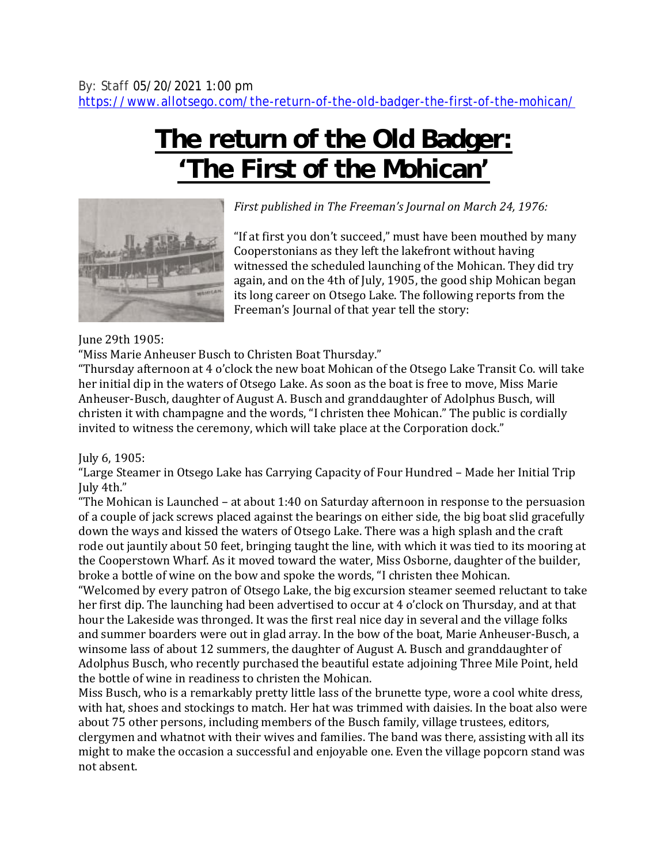## **The return of the Old Badger: 'The First of the Mohican'**



*First published in The Freeman's Journal on March 24, 1976:*

"If at first you don't succeed," must have been mouthed by many Cooperstonians as they left the lakefront without having witnessed the scheduled launching of the Mohican. They did try again, and on the 4th of July, 1905, the good ship Mohican began its long career on Otsego Lake. The following reports from the Freeman's Journal of that year tell the story:

## June 29th 1905:

"Miss Marie Anheuser Busch to Christen Boat Thursday."

"Thursday afternoon at 4 o'clock the new boat Mohican of the Otsego Lake Transit Co. will take her initial dip in the waters of Otsego Lake. As soon as the boat is free to move, Miss Marie Anheuser-Busch, daughter of August A. Busch and granddaughter of Adolphus Busch, will christen it with champagne and the words, "I christen thee Mohican." The public is cordially invited to witness the ceremony, which will take place at the Corporation dock."

July 6, 1905:

"Large Steamer in Otsego Lake has Carrying Capacity of Four Hundred – Made her Initial Trip July 4th."

"The Mohican is Launched – at about 1:40 on Saturday afternoon in response to the persuasion of a couple of jack screws placed against the bearings on either side, the big boat slid gracefully down the ways and kissed the waters of Otsego Lake. There was a high splash and the craft rode out jauntily about 50 feet, bringing taught the line, with which it was tied to its mooring at the Cooperstown Wharf. As it moved toward the water, Miss Osborne, daughter of the builder, broke a bottle of wine on the bow and spoke the words, "I christen thee Mohican.

"Welcomed by every patron of Otsego Lake, the big excursion steamer seemed reluctant to take her first dip. The launching had been advertised to occur at 4 o'clock on Thursday, and at that hour the Lakeside was thronged. It was the first real nice day in several and the village folks and summer boarders were out in glad array. In the bow of the boat, Marie Anheuser-Busch, a winsome lass of about 12 summers, the daughter of August A. Busch and granddaughter of Adolphus Busch, who recently purchased the beautiful estate adjoining Three Mile Point, held the bottle of wine in readiness to christen the Mohican.

Miss Busch, who is a remarkably pretty little lass of the brunette type, wore a cool white dress, with hat, shoes and stockings to match. Her hat was trimmed with daisies. In the boat also were about 75 other persons, including members of the Busch family, village trustees, editors, clergymen and whatnot with their wives and families. The band was there, assisting with all its might to make the occasion a successful and enjoyable one. Even the village popcorn stand was not absent.